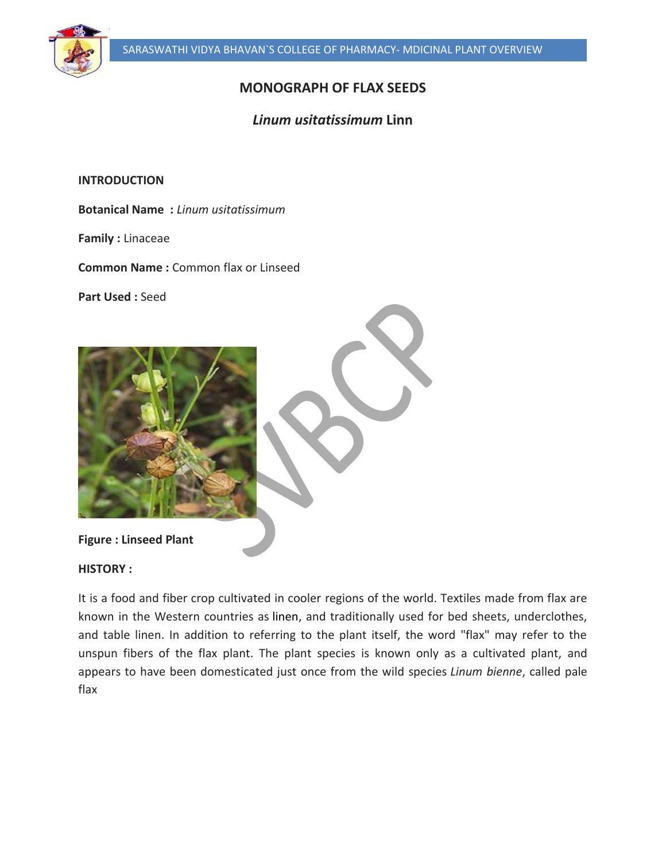

# **MONOGRAPH OF FLAX SEEDS**

## *Linum usitatissimum* **Linn**

**INTRODUCTION**

**Botanical Name :** *Linum usitatissimum*

**Family :** Linaceae

**Common Name :** Common flax or Linseed

**Part Used :** Seed



**HISTORY :**

It is a food and fiber crop cultivated in cooler regions of the world. Textiles made from flax are known in the Western countries as linen, and traditionally used for bed sheets, underclothes, and table linen. In addition to referring to the plant itself, the word "flax" may refer to the unspun fibers of the flax plant. The plant species is known only as a cultivated plant, and appears to have been domesticated just once from the wild species *Linum bienne*, called pale flax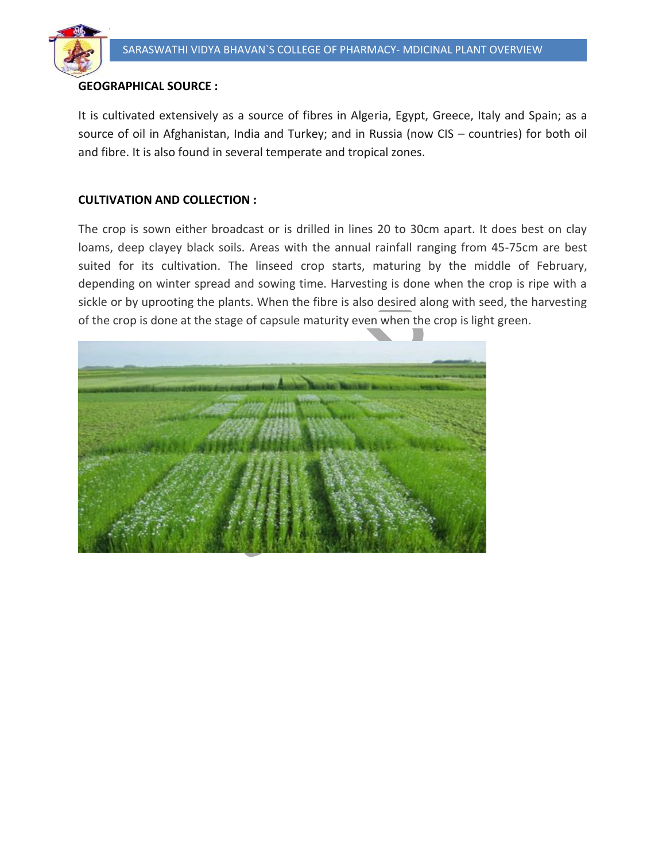

## **GEOGRAPHICAL SOURCE :**

It is cultivated extensively as a source of fibres in Algeria, Egypt, Greece, Italy and Spain; as a source of oil in Afghanistan, India and Turkey; and in Russia (now CIS – countries) for both oil and fibre. It is also found in several temperate and tropical zones.

#### **CULTIVATION AND COLLECTION :**

The crop is sown either broadcast or is drilled in lines 20 to 30cm apart. It does best on clay loams, deep clayey black soils. Areas with the annual rainfall ranging from 45-75cm are best suited for its cultivation. The linseed crop starts, maturing by the middle of February, depending on winter spread and sowing time. Harvesting is done when the crop is ripe with a sickle or by uprooting the plants. When the fibre is also desired along with seed, the harvesting of the crop is done at the stage of capsule maturity even when the crop is light green.

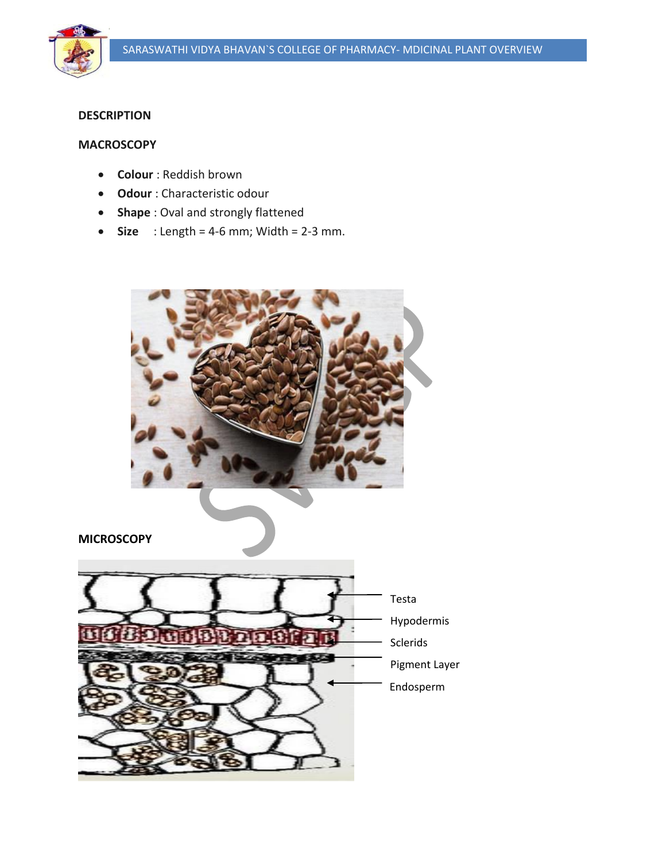

### **DESCRIPTION**

#### **MACROSCOPY**

- **Colour** : Reddish brown
- **Odour** : Characteristic odour
- **Shape** : Oval and strongly flattened
- $\bullet$  **Size** : Length = 4-6 mm; Width = 2-3 mm.

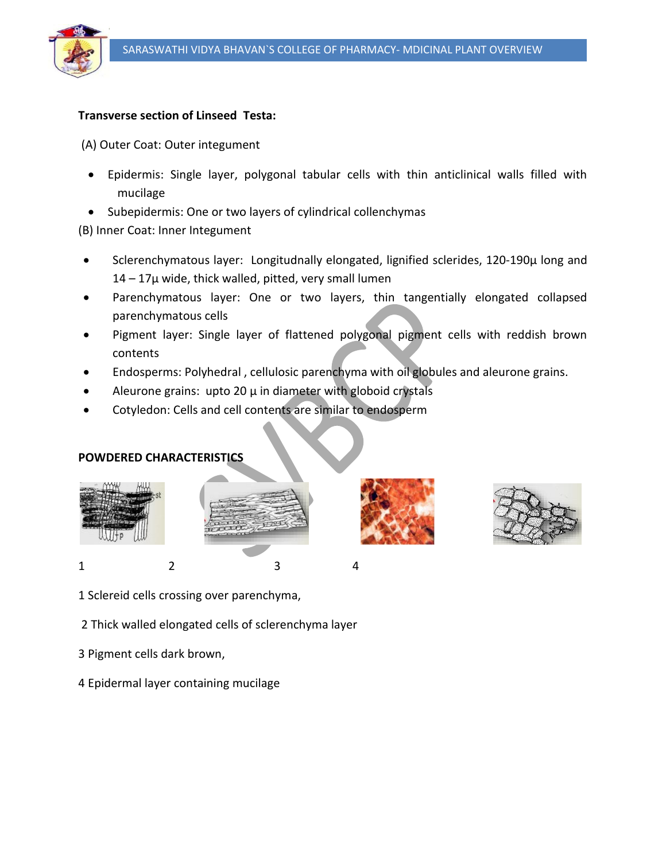

## **Transverse section of Linseed Testa:**

(A) Outer Coat: Outer integument

- Epidermis: Single layer, polygonal tabular cells with thin anticlinical walls filled with mucilage
- Subepidermis: One or two layers of cylindrical collenchymas

(B) Inner Coat: Inner Integument

- Sclerenchymatous layer: Longitudnally elongated, lignified sclerides, 120-190µ long and  $14 - 17\mu$  wide, thick walled, pitted, very small lumen
- Parenchymatous layer: One or two layers, thin tangentially elongated collapsed parenchymatous cells
- Pigment layer: Single layer of flattened polygonal pigment cells with reddish brown contents
- Endosperms: Polyhedral , cellulosic parenchyma with oil globules and aleurone grains.
- Aleurone grains: upto 20  $\mu$  in diameter with globoid crystals
- Cotyledon: Cells and cell contents are similar to endosperm

## **POWDERED CHARACTERISTICS**





- 1 Sclereid cells crossing over parenchyma,
- 2 Thick walled elongated cells of sclerenchyma layer
- 3 Pigment cells dark brown,
- 4 Epidermal layer containing mucilage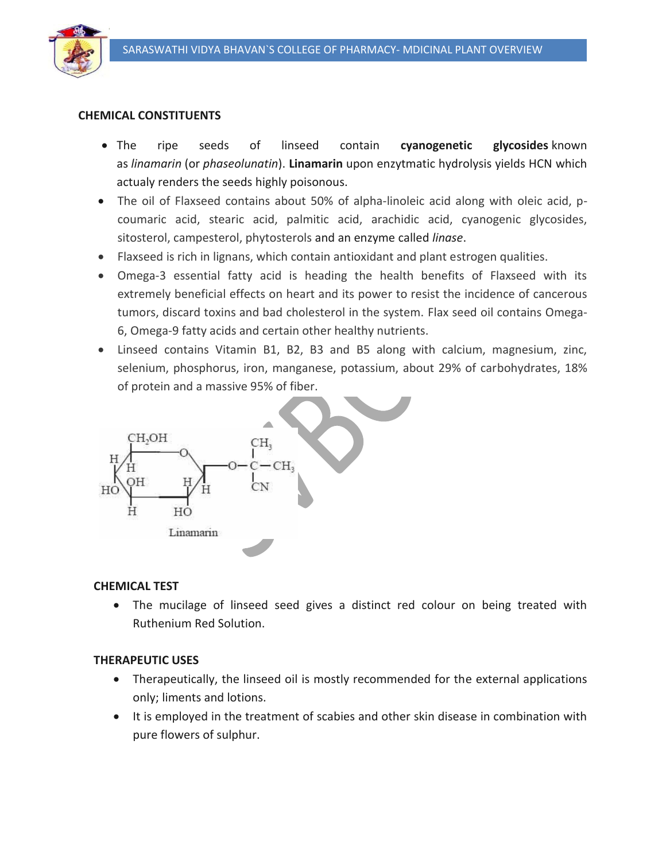

#### **CHEMICAL CONSTITUENTS**

- The ripe seeds of linseed contain **cyanogenetic glycosides** known as *linamarin* (or *phaseolunatin*). **Linamarin** upon enzytmatic hydrolysis yields HCN which actualy renders the seeds highly poisonous.
- The oil of Flaxseed contains about 50% of alpha-linoleic acid along with oleic acid, pcoumaric acid, stearic acid, palmitic acid, arachidic acid, cyanogenic glycosides, sitosterol, campesterol, phytosterols and an enzyme called *linase*.
- Flaxseed is rich in lignans, which contain antioxidant and plant estrogen qualities.
- Omega-3 essential fatty acid is heading the health benefits of Flaxseed with its extremely beneficial effects on heart and its power to resist the incidence of cancerous tumors, discard toxins and bad cholesterol in the system. Flax seed oil contains Omega-6, Omega-9 fatty acids and certain other healthy nutrients.
- Linseed contains Vitamin B1, B2, B3 and B5 along with calcium, magnesium, zinc, selenium, phosphorus, iron, manganese, potassium, about 29% of carbohydrates, 18% of protein and a massive 95% of fiber.



#### **CHEMICAL TEST**

 The mucilage of linseed seed gives a distinct red colour on being treated with Ruthenium Red Solution.

#### **THERAPEUTIC USES**

- Therapeutically, the linseed oil is mostly recommended for the external applications only; liments and lotions.
- It is employed in the treatment of scabies and other skin disease in combination with pure flowers of sulphur.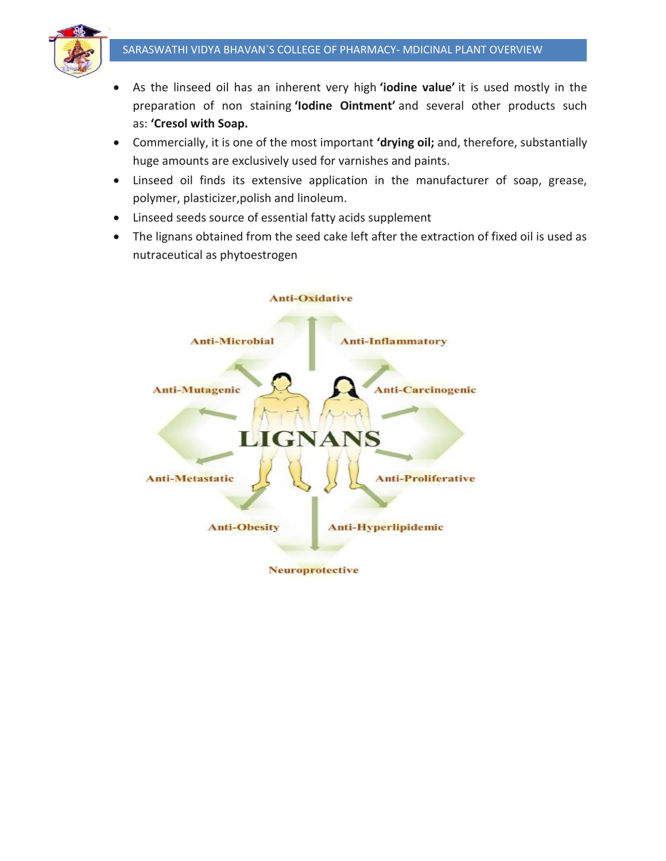

- As the linseed oil has an inherent very high **'iodine value'** it is used mostly in the preparation of non staining **'Iodine Ointment'** and several other products such as: **'Cresol with Soap.**
- Commercially, it is one of the most important **'drying oil;** and, therefore, substantially huge amounts are exclusively used for varnishes and paints.
- Linseed oil finds its extensive application in the manufacturer of soap, grease, polymer, plasticizer,polish and linoleum.
- Linseed seeds source of essential fatty acids supplement
- The lignans obtained from the seed cake left after the extraction of fixed oil is used as nutraceutical as phytoestrogen



**Neuroprotective**